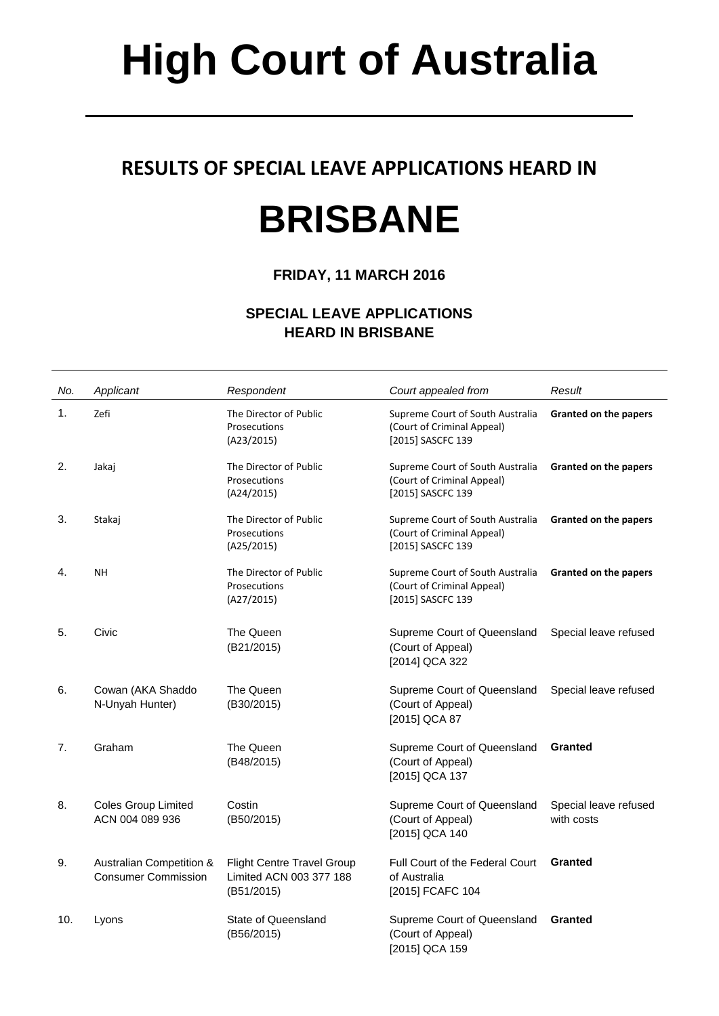# **High Court of Australia**

### **RESULTS OF SPECIAL LEAVE APPLICATIONS HEARD IN**

## **BRISBANE**

### **FRIDAY, 11 MARCH 2016**

#### **SPECIAL LEAVE APPLICATIONS HEARD IN BRISBANE**

| No. | Applicant                                              | Respondent                                                          | Court appealed from                                                                 | Result                              |
|-----|--------------------------------------------------------|---------------------------------------------------------------------|-------------------------------------------------------------------------------------|-------------------------------------|
| 1.  | Zefi                                                   | The Director of Public<br>Prosecutions<br>(A23/2015)                | Supreme Court of South Australia<br>(Court of Criminal Appeal)<br>[2015] SASCFC 139 | Granted on the papers               |
| 2.  | Jakaj                                                  | The Director of Public<br>Prosecutions<br>(A24/2015)                | Supreme Court of South Australia<br>(Court of Criminal Appeal)<br>[2015] SASCFC 139 | Granted on the papers               |
| 3.  | Stakaj                                                 | The Director of Public<br>Prosecutions<br>(A25/2015)                | Supreme Court of South Australia<br>(Court of Criminal Appeal)<br>[2015] SASCFC 139 | <b>Granted on the papers</b>        |
| 4.  | <b>NH</b>                                              | The Director of Public<br>Prosecutions<br>(A27/2015)                | Supreme Court of South Australia<br>(Court of Criminal Appeal)<br>[2015] SASCFC 139 | Granted on the papers               |
| 5.  | Civic                                                  | The Queen<br>(B21/2015)                                             | Supreme Court of Queensland<br>(Court of Appeal)<br>[2014] QCA 322                  | Special leave refused               |
| 6.  | Cowan (AKA Shaddo<br>N-Unyah Hunter)                   | The Queen<br>(B30/2015)                                             | Supreme Court of Queensland<br>(Court of Appeal)<br>[2015] QCA 87                   | Special leave refused               |
| 7.  | Graham                                                 | The Queen<br>(B48/2015)                                             | Supreme Court of Queensland<br>(Court of Appeal)<br>[2015] QCA 137                  | <b>Granted</b>                      |
| 8.  | <b>Coles Group Limited</b><br>ACN 004 089 936          | Costin<br>(B50/2015)                                                | Supreme Court of Queensland<br>(Court of Appeal)<br>[2015] QCA 140                  | Special leave refused<br>with costs |
| 9.  | Australian Competition &<br><b>Consumer Commission</b> | Flight Centre Travel Group<br>Limited ACN 003 377 188<br>(B51/2015) | <b>Full Court of the Federal Court</b><br>of Australia<br>[2015] FCAFC 104          | <b>Granted</b>                      |
| 10. | Lyons                                                  | State of Queensland<br>(B56/2015)                                   | Supreme Court of Queensland<br>(Court of Appeal)<br>[2015] QCA 159                  | <b>Granted</b>                      |